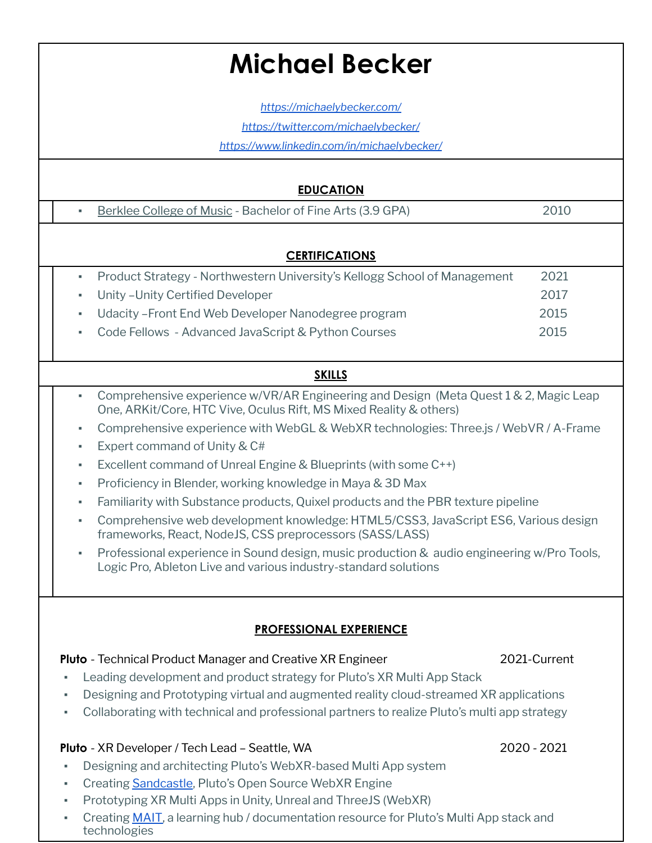# **Michael Becker**

*[https://michaelybecker.com/](http://michaelybecker.com/)*

*[https://twitter.com/michaelybecker/](http://michaelybecker.com/)*

*<https://www.linkedin.com/in/michaelybecker/>*

#### **EDUCATION**

■ [Berklee](https://www.berklee.edu/) College of Music - Bachelor of Fine Arts (3.9 GPA) 2010

#### **CERTIFICATIONS**

▪ Product Strategy - Northwestern University's Kellogg School of Management 2021 ▪ Unity –Unity Certified Developer 2017 ▪ Udacity –Front End Web Developer Nanodegree program 2015 ▪ Code Fellows - Advanced JavaScript & Python Courses 2015

### **SKILLS**

- Comprehensive experience w/VR/AR Engineering and Design (Meta Quest 1 & 2, Magic Leap One, ARKit/Core, HTC Vive, Oculus Rift, MS Mixed Reality & others)
- Comprehensive experience with WebGL & WebXR technologies: Three.js / WebVR / A-Frame
- Expert command of Unity & C#
- Excellent command of Unreal Engine & Blueprints (with some C++)
- Proficiency in Blender, working knowledge in Maya & 3D Max
- Familiarity with Substance products, Quixel products and the PBR texture pipeline
- Comprehensive web development knowledge: HTML5/CSS3, JavaScript ES6, Various design frameworks, React, NodeJS, CSS preprocessors (SASS/LASS)
- Professional experience in Sound design, music production & audio engineering w/Pro Tools, Logic Pro, Ableton Live and various industry-standard solutions

### **PROFESSIONAL EXPERIENCE**

### **Pluto** - Technical Product Manager and Creative XR Engineer 2021-Current

- Leading development and product strategy for Pluto's XR Multi App Stack
- Designing and Prototyping virtual and augmented reality cloud-streamed XR applications
- Collaborating with technical and professional partners to realize Pluto's multi app strategy

#### **Pluto** - XR Developer / Tech Lead – Seattle, WA 2020 - 2021

- Designing and architecting Pluto's WebXR-based Multi App system
- **Creating [Sandcastle](https://github.com/PlutoVR/sandcastle/), Pluto's Open Source WebXR Engine**
- Prototyping XR Multi Apps in Unity, Unreal and ThreeJS (WebXR)
- Creating **MAIT**, a learning hub / documentation resource for Pluto's Multi App stack and technologies